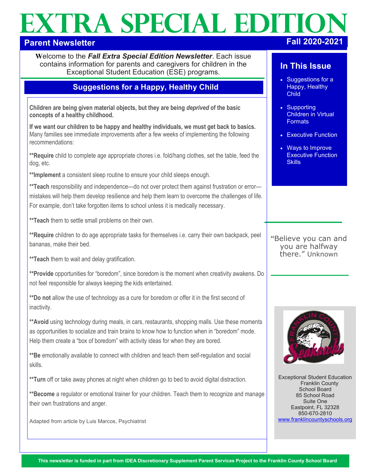# **EXTRA SPECIAL EDITI Parent Newsletter Fall 2020-2021**

**W**elcome to the *Fall Extra Special Edition Newsletter*. Each issue contains information for parents and caregivers for children in the Exceptional Student Education (ESE) programs.

# **Suggestions for a Happy, Healthy Child**

**Children are being given material objects, but they are being** *deprived* **of the basic concepts of a healthy childhood.** 

**If we want our children to be happy and healthy individuals, we must get back to basics.**  Many families see immediate improvements after a few weeks of implementing the following recommendations:

**\*\*Require** child to complete age appropriate chores i.e. fold/hang clothes, set the table, feed the dog, etc.

**\*\*Implement** a consistent sleep routine to ensure your child sleeps enough.

**\*\*Teach** responsibility and independence—do not over protect them against frustration or error mistakes will help them develop resilience and help them learn to overcome the challenges of life. For example, don't take forgotten items to school unless it is medically necessary.

**\*\*Teach** them to settle small problems on their own.

**\*\*Require** children to do age appropriate tasks for themselves i.e. carry their own backpack, peel bananas, make their bed.

**\*\*Teach** them to wait and delay gratification.

**\*\*Provide** opportunities for "boredom", since boredom is the moment when creativity awakens. Do not feel responsible for always keeping the kids entertained.

**\*\*Do not** allow the use of technology as a cure for boredom or offer it in the first second of inactivity.

\*\* Avoid using technology during meals, in cars, restaurants, shopping malls. Use these moments as opportunities to socialize and train brains to know how to function when in "boredom" mode. Help them create a "box of boredom" with activity ideas for when they are bored.

**\*\*Be** emotionally available to connect with children and teach them self-regulation and social skills.

**\*\*Turn** off or take away phones at night when children go to bed to avoid digital distraction.

**\*\*Become** a regulator or emotional trainer for your children. Teach them to recognize and manage their own frustrations and anger.

Adapted from article by Luis Marcos, Psychiatrist

# **In This Issue**

- Suggestions for a Happy, Healthy **Child**
- Supporting Children in Virtual **Formats**
- Executive Function
- Ways to Improve Executive Function **Skills**

**"**Believe you can and you are halfway there." Unknown



Exceptional Student Education Franklin County School Board 85 School Road Suite One Eastpoint, FL 32328 850-670-2810 [www.franklincountyschools.org](http://www.franklincountyschools.org)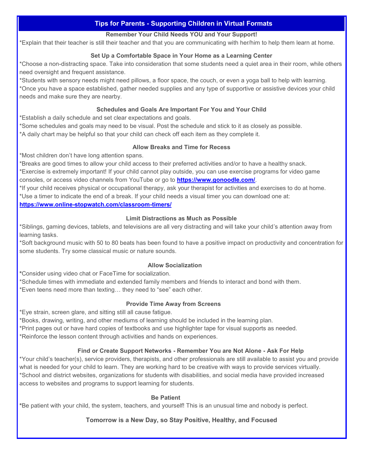### **Tips for Parents - Supporting Children in Virtual Formats**

#### **Remember Your Child Needs YOU and Your Support!**

\*Explain that their teacher is still their teacher and that you are communicating with her/him to help them learn at home.

#### **Set Up a Comfortable Space in Your Home as a Learning Center**

\*Choose a non-distracting space. Take into consideration that some students need a quiet area in their room, while others need oversight and frequent assistance.

\*Students with sensory needs might need pillows, a floor space, the couch, or even a yoga ball to help with learning. \*Once you have a space established, gather needed supplies and any type of supportive or assistive devices your child needs and make sure they are nearby.

#### **Schedules and Goals Are Important For You and Your Child**

\*Establish a daily schedule and set clear expectations and goals.

\*Some schedules and goals may need to be visual. Post the schedule and stick to it as closely as possible.

\*A daily chart may be helpful so that your child can check off each item as they complete it.

#### **Allow Breaks and Time for Recess**

\*Most children don't have long attention spans.

\*Breaks are good times to allow your child access to their preferred activities and/or to have a healthy snack.

\*Exercise is extremely important! If your child cannot play outside, you can use exercise programs for video game consoles, or access video channels from YouTube or go to **[https://www.gonoodle.com/](https://www/gonoodle.com/)**.

\*If your child receives physical or occupational therapy, ask your therapist for activities and exercises to do at home. \*Use a timer to indicate the end of a break. If your child needs a visual timer you can download one at:

**https://www.online-[stopwatch.com/classroom](https://www.online-stopwatch.com/classroom-timers/)-timers/** 

#### **Limit Distractions as Much as Possible**

\*Siblings, gaming devices, tablets, and televisions are all very distracting and will take your child's attention away from learning tasks.

\*Soft background music with 50 to 80 beats has been found to have a positive impact on productivity and concentration for some students. Try some classical music or nature sounds.

#### **Allow Socialization**

**\***Consider using video chat or FaceTime for socialization.

\*Schedule times with immediate and extended family members and friends to interact and bond with them. \*Even teens need more than texting… they need to "see" each other.

#### **Provide Time Away from Screens**

\*Eye strain, screen glare, and sitting still all cause fatigue.

\*Books, drawing, writing, and other mediums of learning should be included in the learning plan. \*Print pages out or have hard copies of textbooks and use highlighter tape for visual supports as needed. \*Reinforce the lesson content through activities and hands on experiences.

#### **Find or Create Support Networks - Remember You are Not Alone - Ask For Help**

\*Your child's teacher(s), service providers, therapists, and other professionals are still available to assist you and provide what is needed for your child to learn. They are working hard to be creative with ways to provide services virtually. \*School and district websites, organizations for students with disabilities, and social media have provided increased access to websites and programs to support learning for students.

#### **Be Patient**

**\***Be patient with your child, the system, teachers, and yourself! This is an unusual time and nobody is perfect.

#### **Tomorrow is a New Day, so Stay Positive, Healthy, and Focused**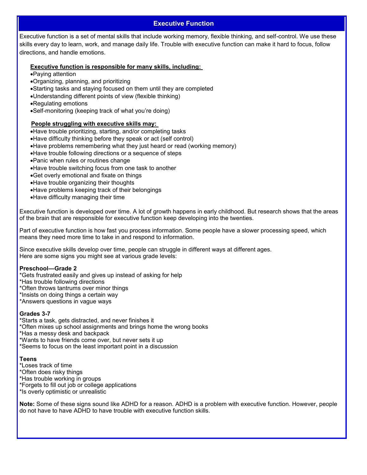#### **Executive Function**

Executive function is a set of mental skills that include working memory, flexible thinking, and self-control. We use these skills every day to learn, work, and manage daily life. Trouble with executive function can make it hard to focus, follow directions, and handle emotions.

#### **Executive function is responsible for many skills, including:**

- •Paying attention
- •Organizing, planning, and prioritizing
- •Starting tasks and staying focused on them until they are completed
- •Understanding different points of view (flexible thinking)
- •Regulating emotions
- •Self-monitoring (keeping track of what you're doing)

#### **People struggling with executive skills may:**

•Have trouble prioritizing, starting, and/or completing tasks

- •Have difficulty thinking before they speak or act (self control)
- •Have problems remembering what they just heard or read (working memory)
- •Have trouble following directions or a [sequence of steps](https://www.understood.org/en/learning-thinking-differences/child-learning-disabilities/executive-functioning-issues/trouble-with-sequencing-what-you-need-to-know)
- •Panic when rules or routines change
- •Have trouble switching focus from one task to another
- •Get overly emotional and fixate on things
- •Have trouble organizing their thoughts
- •Have problems keeping track of their belongings
- •Have difficulty managing their time

Executive function is developed over time. A lot of growth happens in early childhood. But research shows that the areas of the brain that are responsible for executive function keep developing into the twenties.

Part of executive function is how fast you process information. Some people have a slower processing speed, which means they need more time to take in and respond to information.

Since executive skills develop over time, people can struggle in different ways at different ages. Here are some signs you might see at various grade levels:

#### **Preschool—Grade 2**

\*Gets frustrated easily and gives up instead of asking for help

\*Has trouble following directions

- \*Often throws tantrums over minor things
- \*Insists on doing things a certain way
- \*Answers questions in vague ways

#### **Grades 3-7**

- \*Starts a task, gets distracted, and never finishes it
- \*Often mixes up school assignments and brings home the wrong books
- \*Has a messy desk and backpack
- \*Wants to have friends come over, but never sets it up
- \*Seems to focus on the least important point in a discussion

#### **Teens**

- \*Loses track of time
- \*Often does risky things
- \*Has trouble working in groups
- \*Forgets to fill out job or college applications
- \*Is overly optimistic or unrealistic

**Note:** Some of these signs sound like ADHD for a reason. ADHD is a problem with executive function. However, people do not have to have ADHD to have trouble with executive function skills.